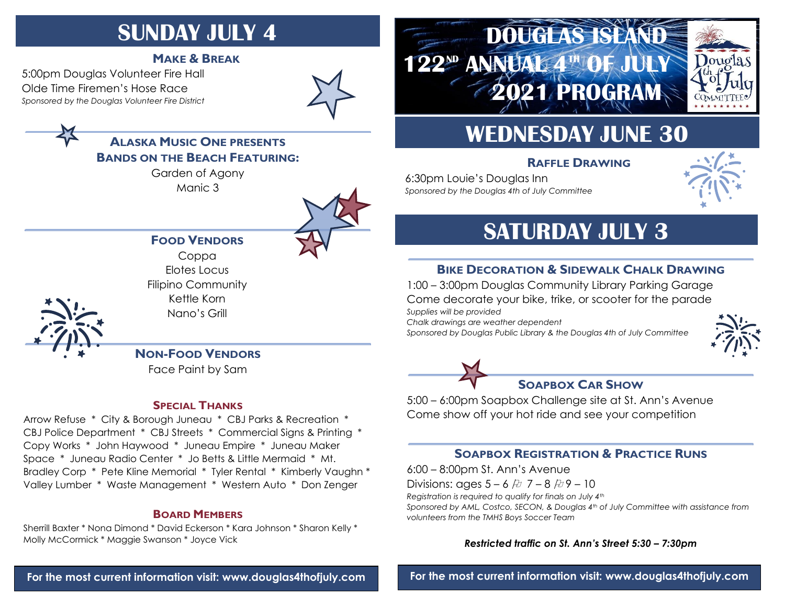# **SUNDAY JULY 4**

### **MAKE & BREAK**

5:00pm Douglas Volunteer Fire Hall Olde Time Firemen's Hose Race *Sponsored by the Douglas Volunteer Fire District*



### **ALASKA MUSIC ONE PRESENTS BANDS ON THE BEACH FEATURING:**

Garden of Agony Manic 3



### **FOOD VENDORS**

Coppa Elotes Locus Filipino Community Kettle Korn Nano's Grill

**NON-FOOD VENDORS**

Face Paint by Sam

#### **SPECIAL THANKS**

Arrow Refuse \* City & Borough Juneau \* CBJ Parks & Recreation \* CBJ Police Department \* CBJ Streets \* Commercial Signs & Printing \* Copy Works \* John Haywood \* Juneau Empire \* Juneau Maker Space \* Juneau Radio Center \* Jo Betts & Little Mermaid \* Mt. Bradley Corp \* Pete Kline Memorial \* Tyler Rental \* Kimberly Vaughn \* Valley Lumber \* Waste Management \* Western Auto \* Don Zenger

#### **BOARD MEMBERS**

Sherrill Baxter \* Nona Dimond \* David Eckerson \* Kara Johnson \* Sharon Kelly \* Molly McCormick \* Maggie Swanson \* Joyce Vick

# **DOUGLAS ISLAND 122ND ANNUAL 4TH OF JULY 2021 PROGRAM**



# **WEDNESDAY JUNE 30**

### **RAFFLE DRAWING**

6:30pm Louie's Douglas Inn *Sponsored by the Douglas 4th of July Committee*



# **SATURDAY JULY 3**

### **BIKE DECORATION & SIDEWALK CHALK DRAWING**

1:00 – 3:00pm Douglas Community Library Parking Garage Come decorate your bike, trike, or scooter for the parade *Supplies will be provided* 

*Chalk drawings are weather dependent*

*Sponsored by Douglas Public Library & the Douglas 4th of July Committee*





5:00 – 6:00pm Soapbox Challenge site at St. Ann's Avenue

Come show off your hot ride and see your competition

### **SOAPBOX REGISTRATION & PRACTICE RUNS**

6:00 – 8:00pm St. Ann's Avenue

Divisions: ages  $5 - 6$  &  $7 - 8$  &  $9 - 10$ 

*Registration is required to qualify for finals on July 4th*

*Sponsored by AML, Costco, SECON, & Douglas 4th of July Committee with assistance from volunteers from the TMHS Boys Soccer Team*

#### *Restricted traffic on St. Ann's Street 5:30 – 7:30pm*

**For the most current information visit: [www.douglas4thofjuly.com](http://www.douglas4thofjuly.com/)**